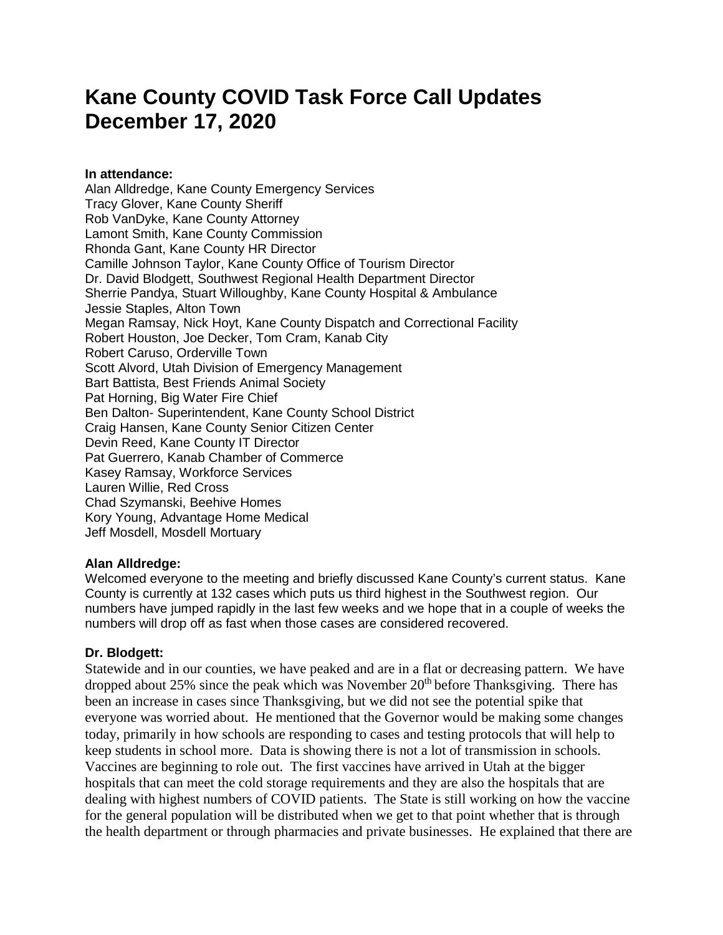# **Kane County COVID Task Force Call Updates December 17, 2020**

## **In attendance:**

Alan Alldredge, Kane County Emergency Services Tracy Glover, Kane County Sheriff Rob VanDyke, Kane County Attorney Lamont Smith, Kane County Commission Rhonda Gant, Kane County HR Director Camille Johnson Taylor, Kane County Office of Tourism Director Dr. David Blodgett, Southwest Regional Health Department Director Sherrie Pandya, Stuart Willoughby, Kane County Hospital & Ambulance Jessie Staples, Alton Town Megan Ramsay, Nick Hoyt, Kane County Dispatch and Correctional Facility Robert Houston, Joe Decker, Tom Cram, Kanab City Robert Caruso, Orderville Town Scott Alvord, Utah Division of Emergency Management Bart Battista, Best Friends Animal Society Pat Horning, Big Water Fire Chief Ben Dalton- Superintendent, Kane County School District Craig Hansen, Kane County Senior Citizen Center Devin Reed, Kane County IT Director Pat Guerrero, Kanab Chamber of Commerce Kasey Ramsay, Workforce Services Lauren Willie, Red Cross Chad Szymanski, Beehive Homes Kory Young, Advantage Home Medical Jeff Mosdell, Mosdell Mortuary

# **Alan Alldredge:**

Welcomed everyone to the meeting and briefly discussed Kane County's current status. Kane County is currently at 132 cases which puts us third highest in the Southwest region. Our numbers have jumped rapidly in the last few weeks and we hope that in a couple of weeks the numbers will drop off as fast when those cases are considered recovered.

# **Dr. Blodgett:**

Statewide and in our counties, we have peaked and are in a flat or decreasing pattern. We have dropped about 25% since the peak which was November  $20<sup>th</sup>$  before Thanksgiving. There has been an increase in cases since Thanksgiving, but we did not see the potential spike that everyone was worried about. He mentioned that the Governor would be making some changes today, primarily in how schools are responding to cases and testing protocols that will help to keep students in school more. Data is showing there is not a lot of transmission in schools. Vaccines are beginning to role out. The first vaccines have arrived in Utah at the bigger hospitals that can meet the cold storage requirements and they are also the hospitals that are dealing with highest numbers of COVID patients. The State is still working on how the vaccine for the general population will be distributed when we get to that point whether that is through the health department or through pharmacies and private businesses. He explained that there are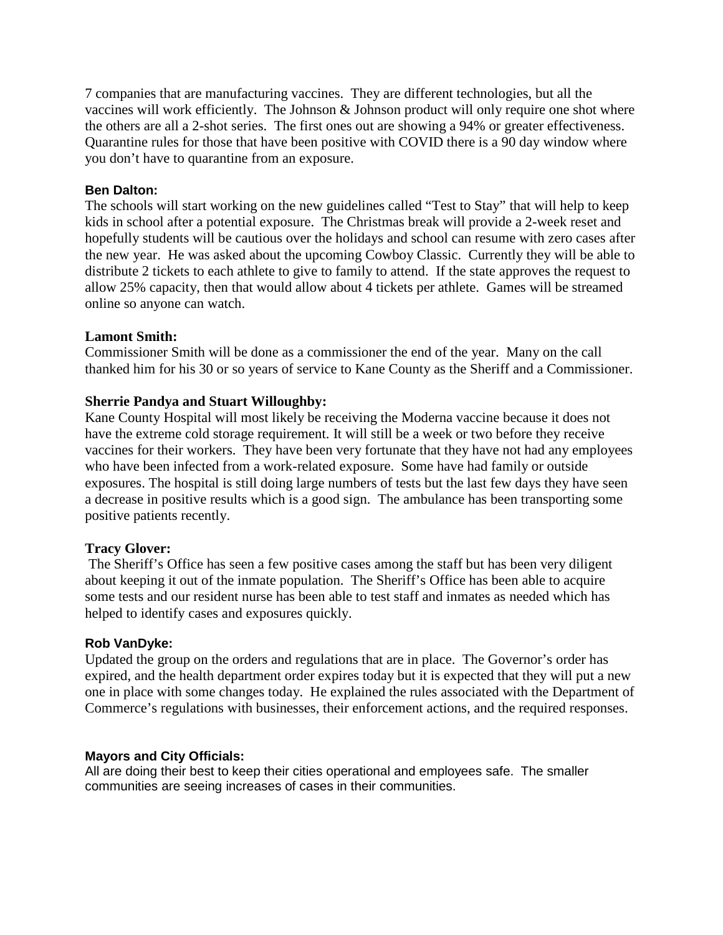7 companies that are manufacturing vaccines. They are different technologies, but all the vaccines will work efficiently. The Johnson & Johnson product will only require one shot where the others are all a 2-shot series. The first ones out are showing a 94% or greater effectiveness. Quarantine rules for those that have been positive with COVID there is a 90 day window where you don't have to quarantine from an exposure.

#### **Ben Dalton:**

The schools will start working on the new guidelines called "Test to Stay" that will help to keep kids in school after a potential exposure. The Christmas break will provide a 2-week reset and hopefully students will be cautious over the holidays and school can resume with zero cases after the new year. He was asked about the upcoming Cowboy Classic. Currently they will be able to distribute 2 tickets to each athlete to give to family to attend. If the state approves the request to allow 25% capacity, then that would allow about 4 tickets per athlete. Games will be streamed online so anyone can watch.

## **Lamont Smith:**

Commissioner Smith will be done as a commissioner the end of the year. Many on the call thanked him for his 30 or so years of service to Kane County as the Sheriff and a Commissioner.

# **Sherrie Pandya and Stuart Willoughby:**

Kane County Hospital will most likely be receiving the Moderna vaccine because it does not have the extreme cold storage requirement. It will still be a week or two before they receive vaccines for their workers. They have been very fortunate that they have not had any employees who have been infected from a work-related exposure. Some have had family or outside exposures. The hospital is still doing large numbers of tests but the last few days they have seen a decrease in positive results which is a good sign. The ambulance has been transporting some positive patients recently.

#### **Tracy Glover:**

The Sheriff's Office has seen a few positive cases among the staff but has been very diligent about keeping it out of the inmate population. The Sheriff's Office has been able to acquire some tests and our resident nurse has been able to test staff and inmates as needed which has helped to identify cases and exposures quickly.

#### **Rob VanDyke:**

Updated the group on the orders and regulations that are in place. The Governor's order has expired, and the health department order expires today but it is expected that they will put a new one in place with some changes today. He explained the rules associated with the Department of Commerce's regulations with businesses, their enforcement actions, and the required responses.

#### **Mayors and City Officials:**

All are doing their best to keep their cities operational and employees safe. The smaller communities are seeing increases of cases in their communities.